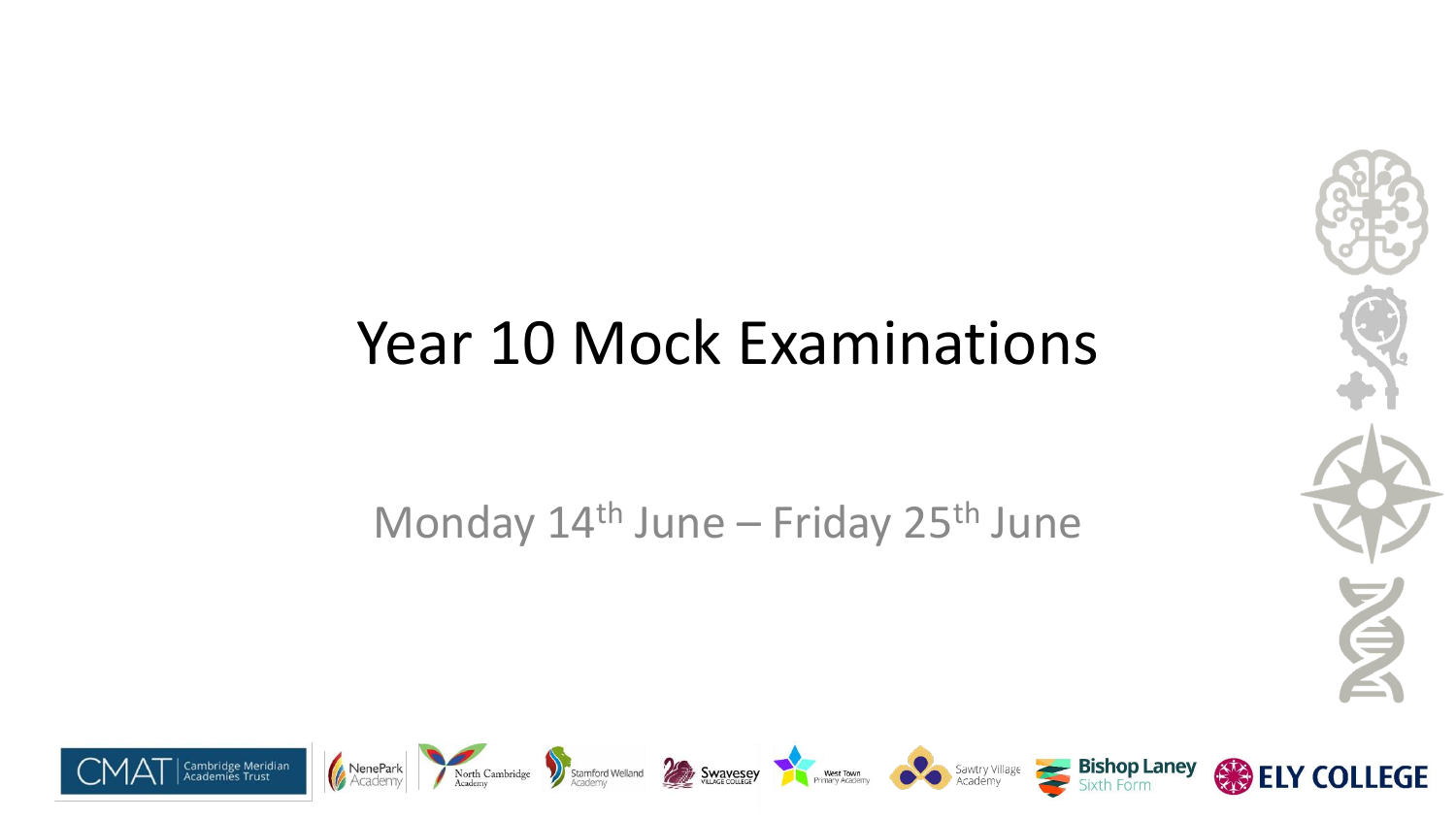#### Year 10 Mock Examinations

Monday 14<sup>th</sup> June – Friday 25<sup>th</sup> June



**ELY COLLEGE** 

安全



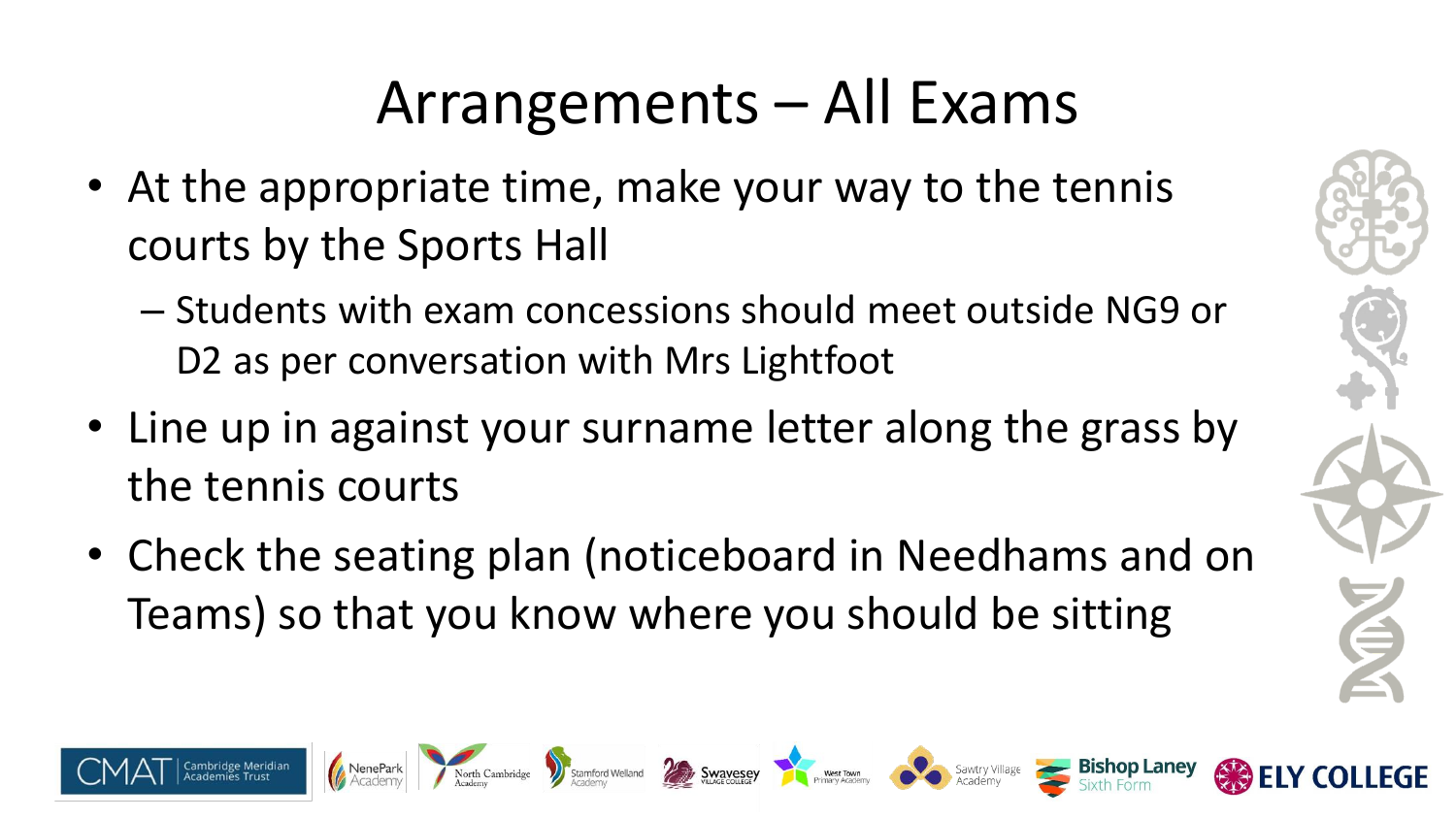## Arrangements – All Exams

- At the appropriate time, make your way to the tennis courts by the Sports Hall
	- Students with exam concessions should meet outside NG9 or D<sub>2</sub> as per conversation with Mrs Lightfoot
- Line up in against your surname letter along the grass by the tennis courts
- Check the seating plan (noticeboard in Needhams and on Teams) so that you know where you should be sitting

North Cambridge

Stamford Welland **De Standard Standard Saving Saving Saving Saving Saving Saving Saving Saving Saving Saving Saving Saving Saving Saving Saving Saving Saving Saving Saving Saving Saving Saving Saving Saving Saving Saving S** 

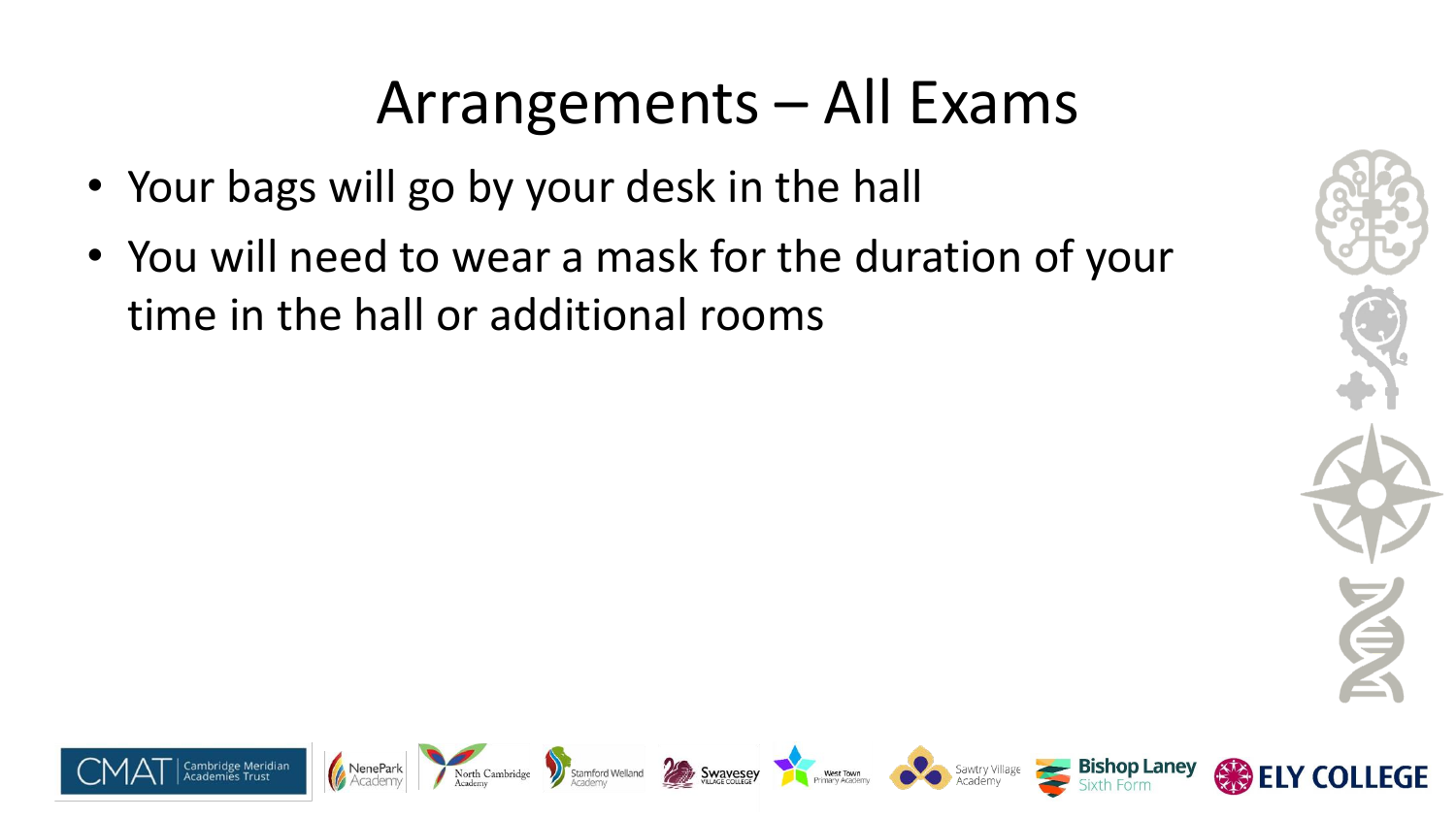#### Arrangements – All Exams

- Your bags will go by your desk in the hall
- You will need to wear a mask for the duration of your time in the hall or additional rooms



**LEGE** 













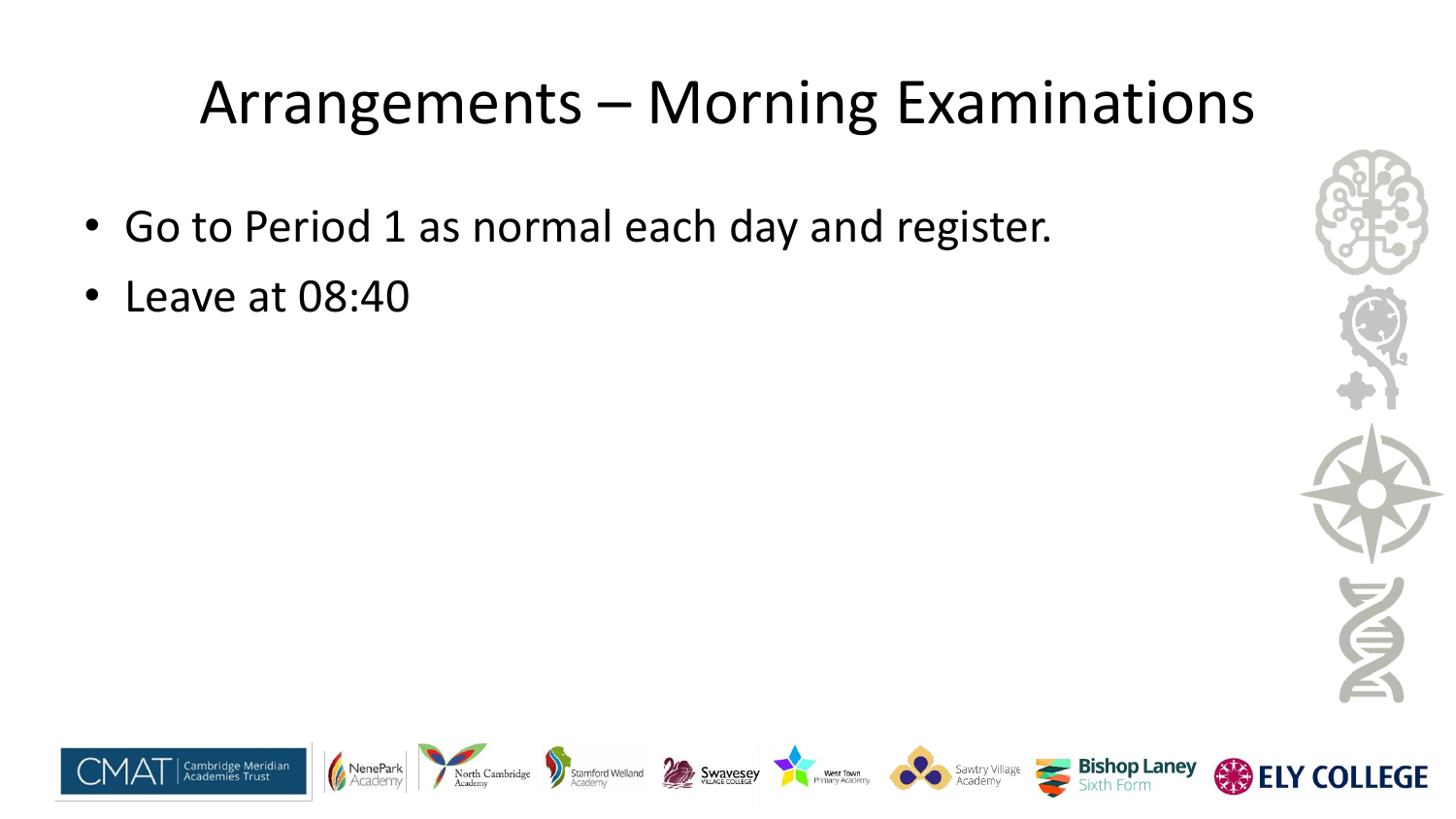# Arrangements – Morning Examinations

- Go to Period 1 as normal each day and register.
- Leave at 08:40



**COLLEGE** 

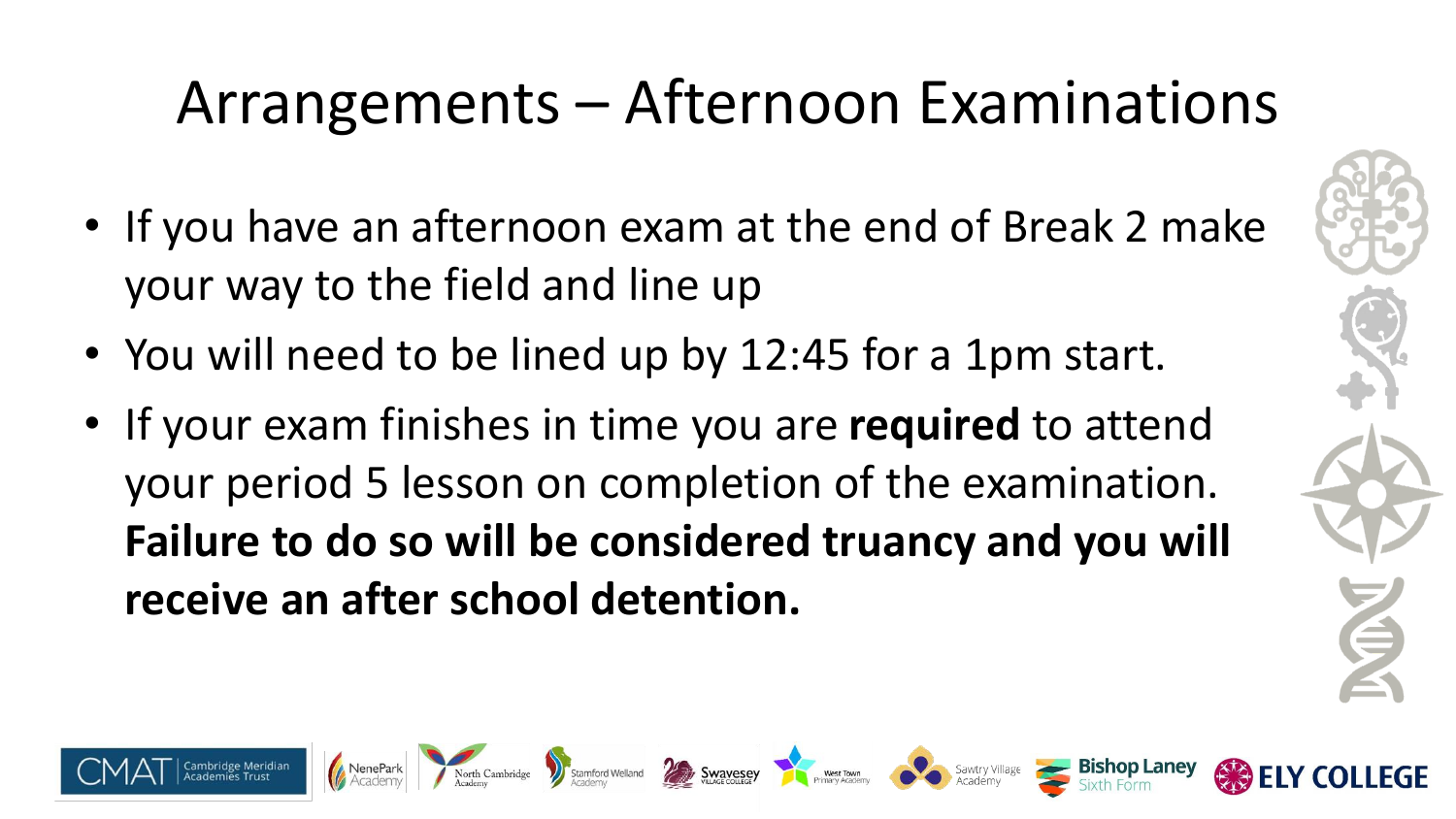# Arrangements – Afternoon Examinations

- If you have an afternoon exam at the end of Break 2 make your way to the field and line up
- You will need to be lined up by 12:45 for a 1pm start.

North Cambridge

• If your exam finishes in time you are **required** to attend your period 5 lesson on completion of the examination. **Failure to do so will be considered truancy and you will receive an after school detention.**

Stamford Welland **Example Swavesey** West Town West Town Sawtry Villa

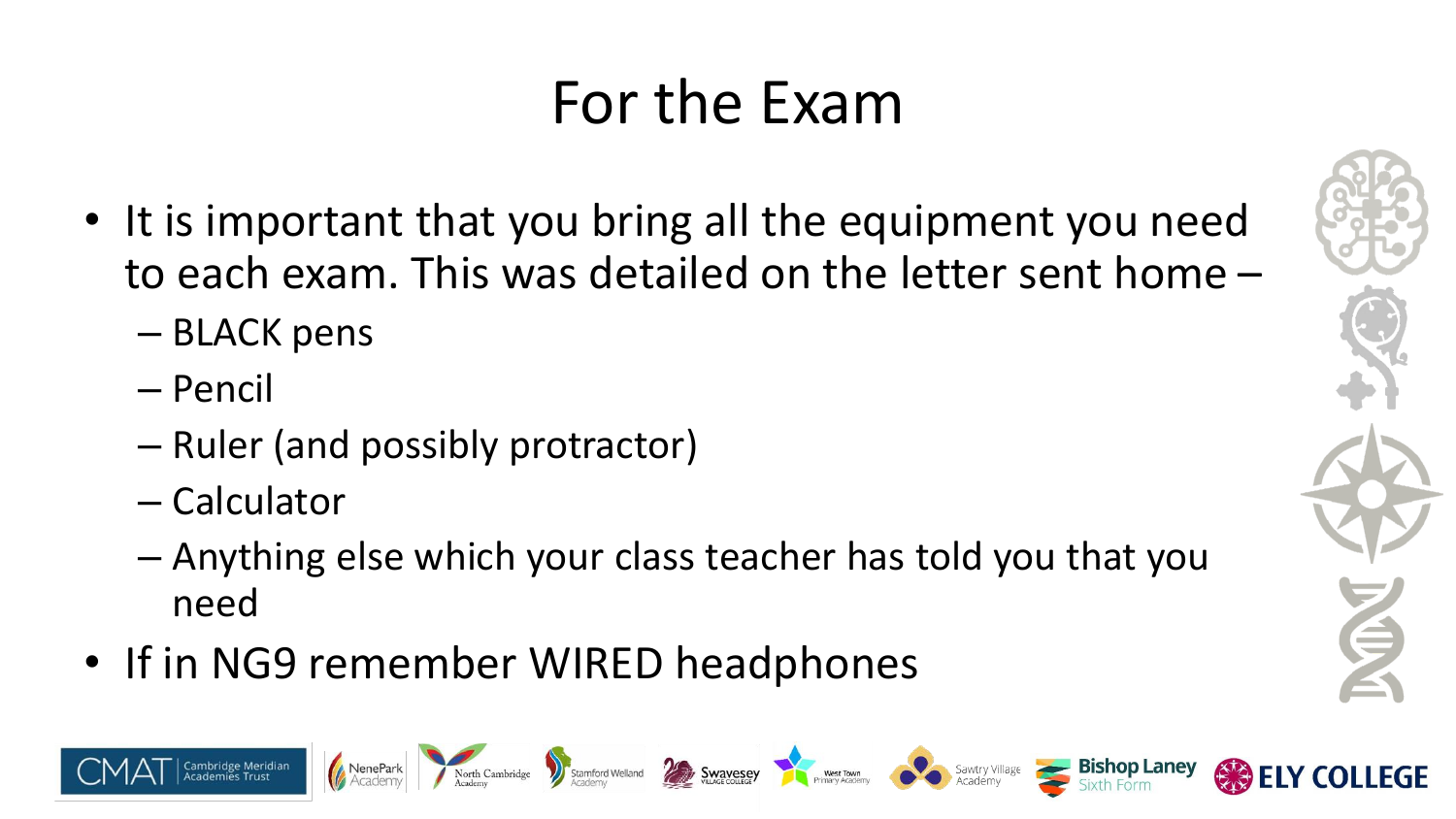### For the Exam

- It is important that you bring all the equipment you need to each exam. This was detailed on the letter sent home –
	- BLACK pens
	- Pencil
	- Ruler (and possibly protractor)
	- Calculator
	- Anything else which your class teacher has told you that you need

Stamford Welland **Example Stamford Welland** Sawtry Village

• If in NG9 remember WIRED headphones

North Cambridge

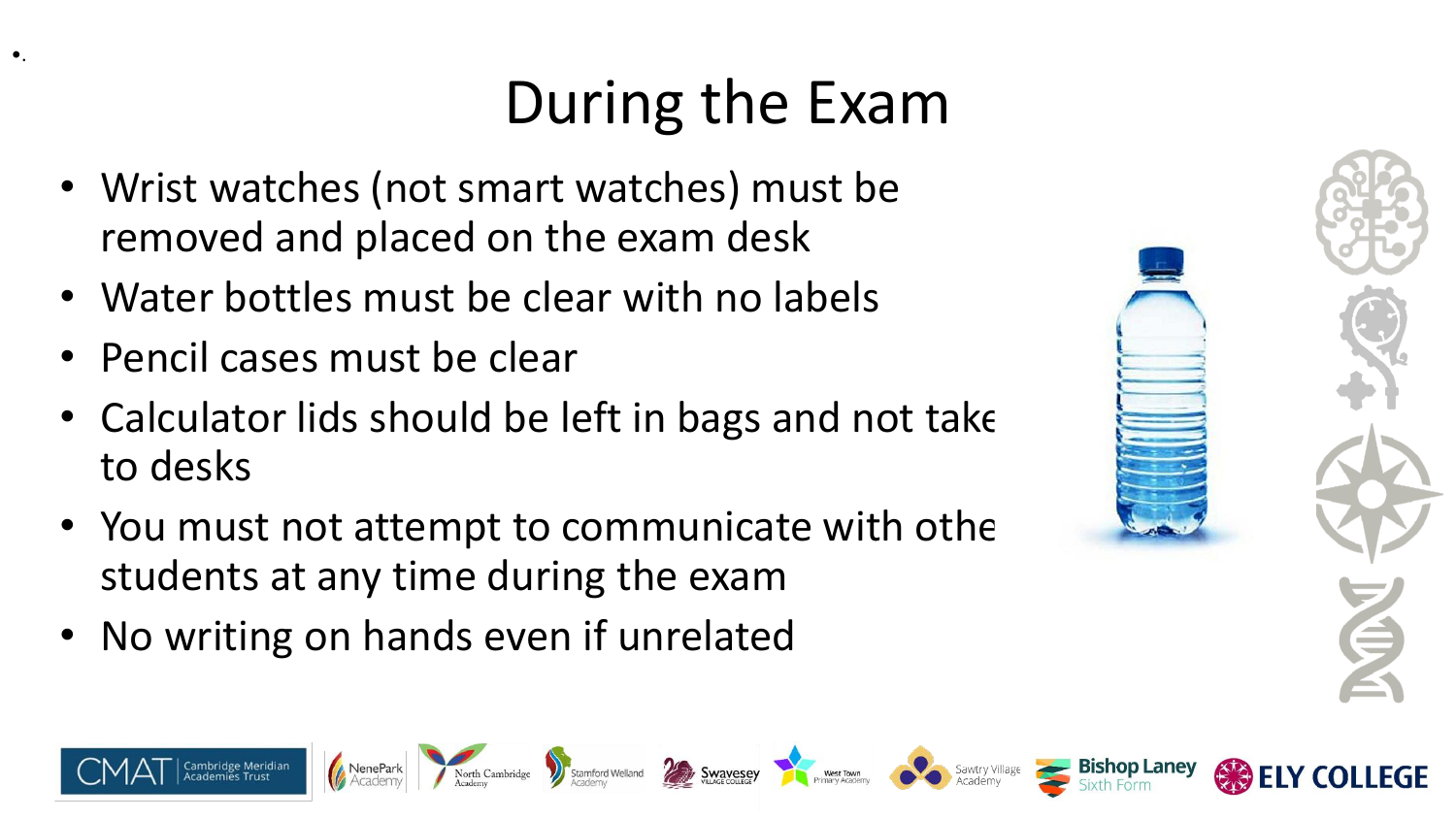# During the Exam

Stamford Welland **Example Stave Service Stave Service Countries Countries Countries and Sawtry Village Sawtry Village Sawtry Village Sawtry Village Stave Countries Academy** 

- Wrist watches (not smart watches) must be removed and placed on the exam desk
- Water bottles must be clear with no labels
- Pencil cases must be clear

•.

- $\bullet$  Calculator lids should be left in bags and not take to desks
- You must not attempt to communicate with othe students at any time during the exam
- No writing on hands even if unrelated

| A |
|---|
|   |
|   |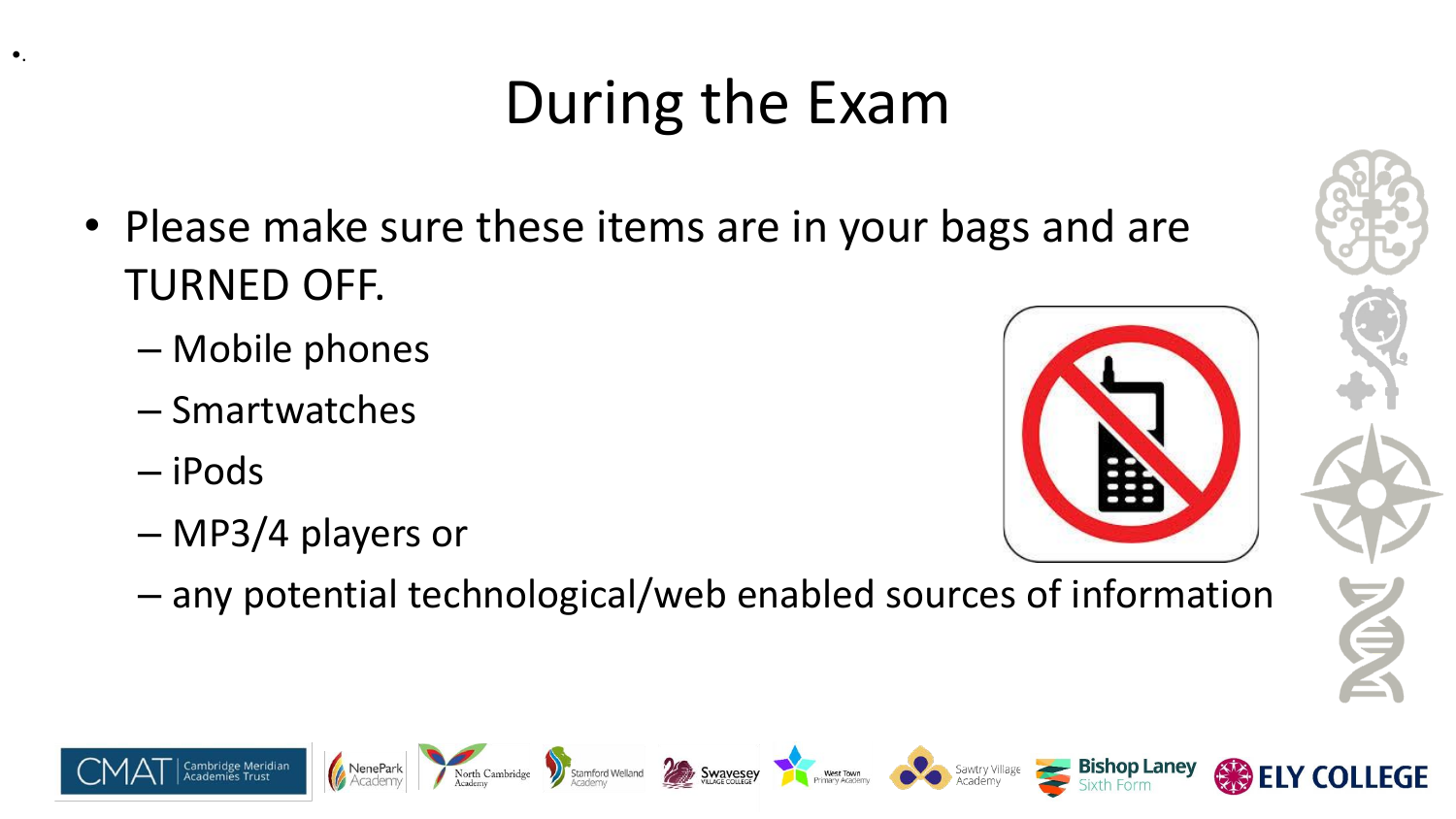# During the Exam

- Please make sure these items are in your bags and are TURNED OFF.
	- Mobile phones
	- Smartwatches
	- iPods

•.

– MP3/4 players or

North Cambridge



– any potential technological/web enabled sources of information

Stamford Welland **Swavesey** West Town West Town Sawtry Village

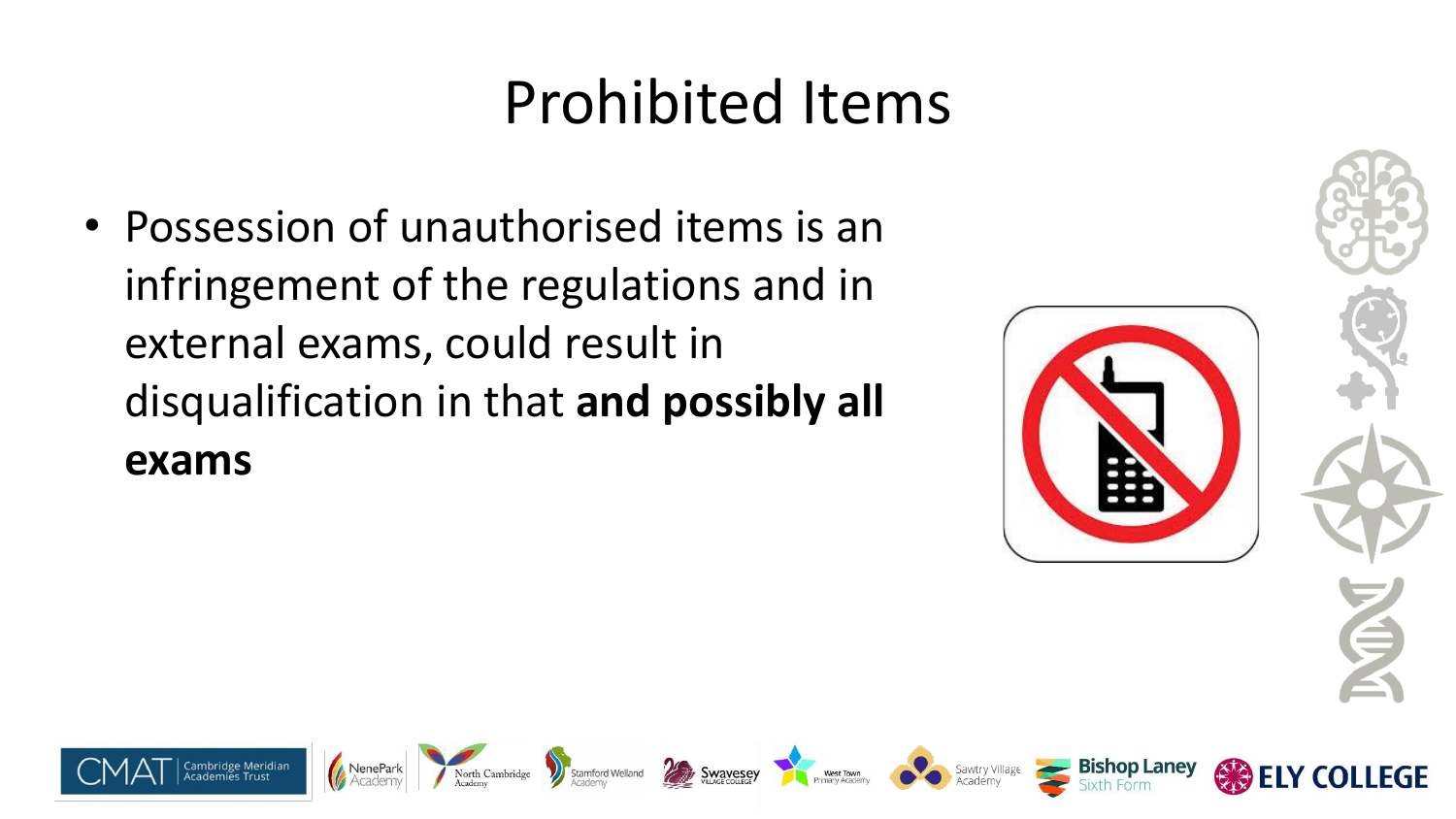### Prohibited Items

• Possession of unauthorised items is an infringement of the regulations and in external exams, could result in disqualification in that **and possibly all exams**

North Cambridge

Stamford Welland

**Swavesey** 



West Town<br>Primary Academy<br>Academy



**LEGE** 

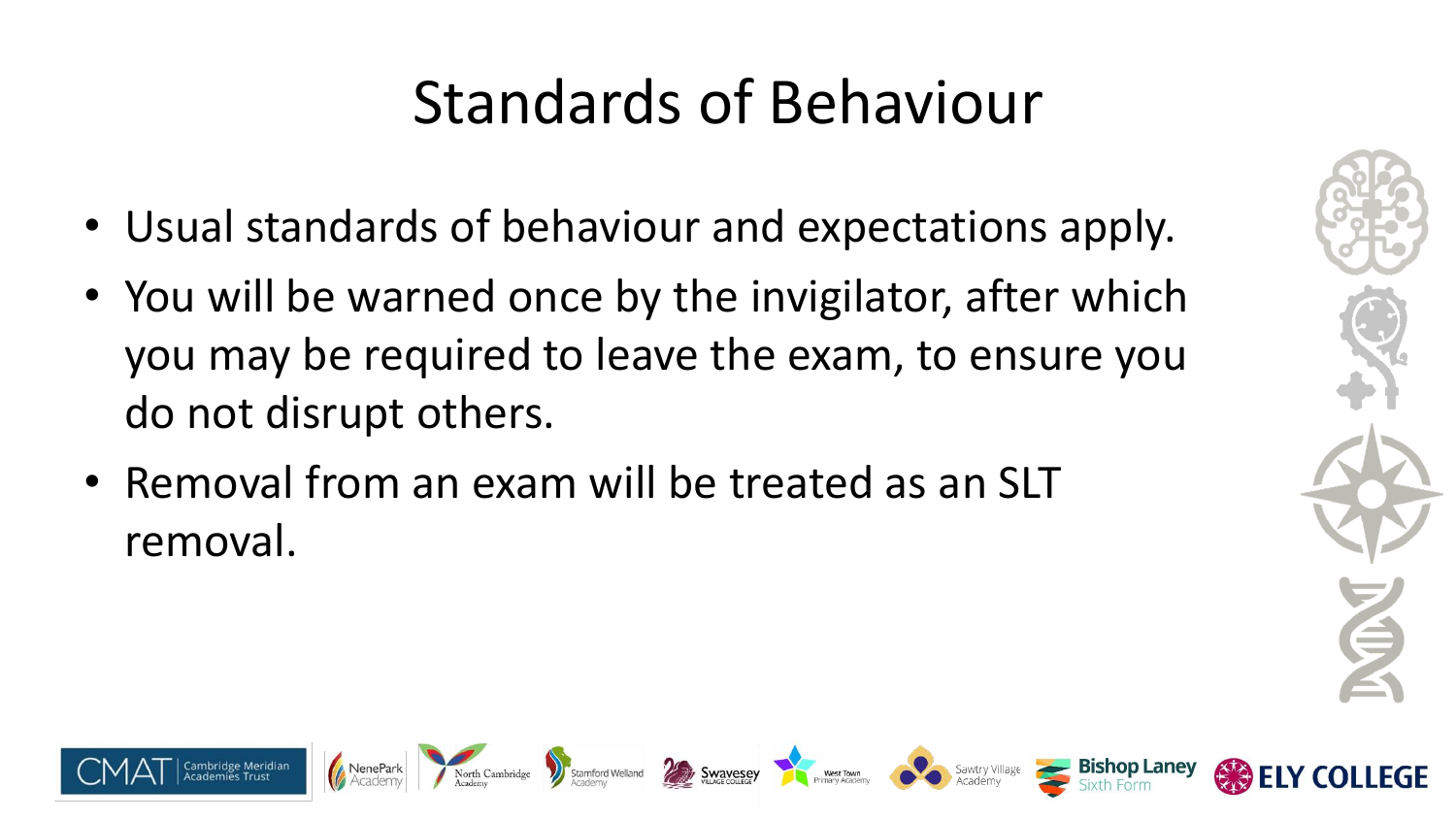# Standards of Behaviour

Stamford Welland **Development Stamford Welland Development Stamford Welland Development Stamford Welland Sawtry Ville** 

- Usual standards of behaviour and expectations apply.
- You will be warned once by the invigilator, after which you may be required to leave the exam, to ensure you do not disrupt others.
- Removal from an exam will be treated as an SLT removal.